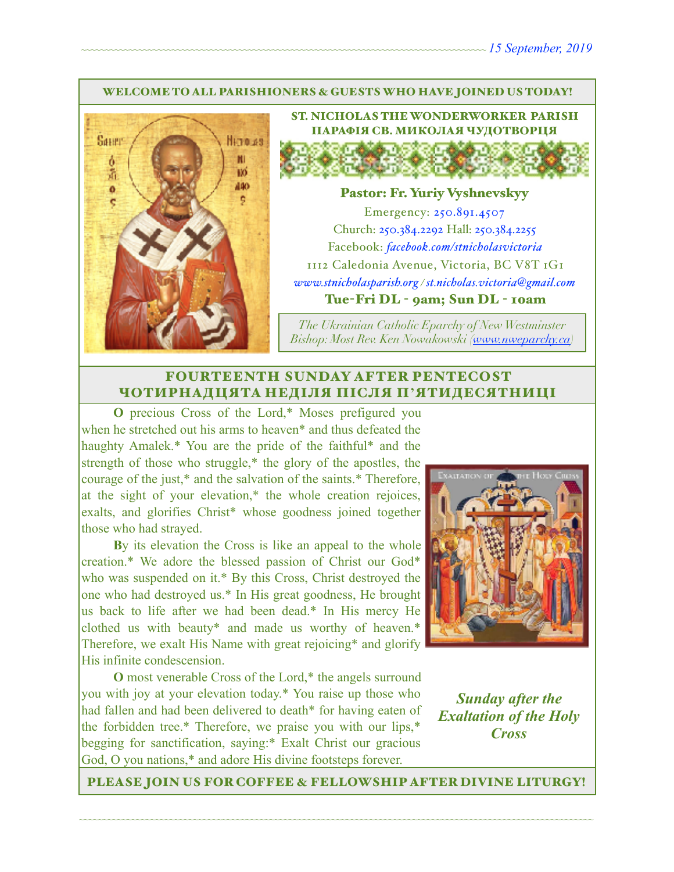#### WELCOME TO ALL PARISHIONERS & GUESTS WHO HAVE JOINED US TODAY!



ST. NICHOLAS THE WONDERWORKER PARISH ПАРАФІЯ СВ. МИКОЛАЯ ЧУДОТВОРЦЯ

#### Pastor: Fr. Yuriy Vyshnevskyy

Emergency: 250.891.4507 Church: 250.384.2292 Hall: 250.384.2255 Facebook: *[facebook.com/stnicholasvictoria](http://facebook.com/stnicholasvictoria)* 1112 Caledonia Avenue, Victoria, BC V8T 1G1 *[www.stnicholasparish.org](http://www.stnicholasparish.org) / [st.nicholas.victoria@gmail.com](mailto:st.nicholas.victoria@gmail.com)* Tue-Fri DL - 9am; Sun DL - 10am

*The Ukrainian Catholic Eparchy of New Westminster Bishop: Most Rev. Ken Nowakowski ([www.nweparchy.ca](http://www.nweparchy.ca))*

## FOURTEENTH SUNDAY AFTER PENTECOST ЧОТИРНАДЦЯТА НЕДІЛЯ ПІСЛЯ П**'**ЯТИДЕСЯТНИЦІ

**O** precious Cross of the Lord,\* Moses prefigured you when he stretched out his arms to heaven\* and thus defeated the haughty Amalek.\* You are the pride of the faithful\* and the strength of those who struggle,\* the glory of the apostles, the courage of the just,\* and the salvation of the saints.\* Therefore, at the sight of your elevation,\* the whole creation rejoices, exalts, and glorifies Christ\* whose goodness joined together those who had strayed.

**B**y its elevation the Cross is like an appeal to the whole creation.\* We adore the blessed passion of Christ our God\* who was suspended on it.\* By this Cross, Christ destroyed the one who had destroyed us.\* In His great goodness, He brought us back to life after we had been dead.\* In His mercy He clothed us with beauty\* and made us worthy of heaven.\* Therefore, we exalt His Name with great rejoicing\* and glorify His infinite condescension.

**O** most venerable Cross of the Lord,\* the angels surround you with joy at your elevation today.\* You raise up those who had fallen and had been delivered to death\* for having eaten of the forbidden tree.\* Therefore, we praise you with our lips,\* begging for sanctification, saying:\* Exalt Christ our gracious God, O you nations,\* and adore His divine footsteps forever.



*Sunday after the Exaltation of the Holy Cross*

PLEASE JOIN US FOR COFFEE & FELLOWSHIP AFTER DIVINE LITURGY!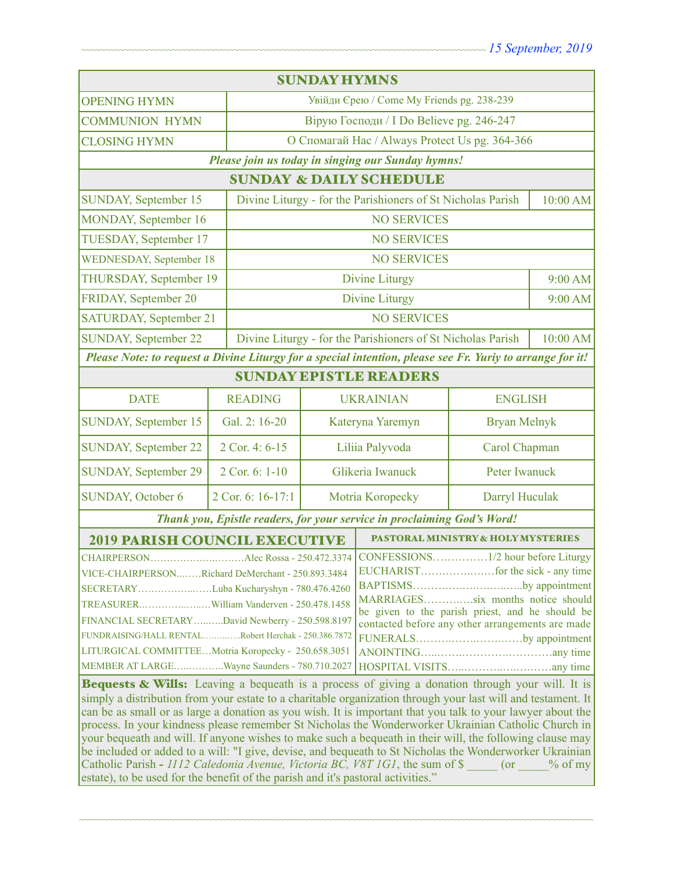| <b>SUNDAY HYMNS</b>                                                                                                                                                                                                                                                                                                                                                                                                                                                                                                                                                                                                                                                                                                                                                                                                                                 |                   |                                                                         |                                                |                     |          |  |
|-----------------------------------------------------------------------------------------------------------------------------------------------------------------------------------------------------------------------------------------------------------------------------------------------------------------------------------------------------------------------------------------------------------------------------------------------------------------------------------------------------------------------------------------------------------------------------------------------------------------------------------------------------------------------------------------------------------------------------------------------------------------------------------------------------------------------------------------------------|-------------------|-------------------------------------------------------------------------|------------------------------------------------|---------------------|----------|--|
| <b>OPENING HYMN</b>                                                                                                                                                                                                                                                                                                                                                                                                                                                                                                                                                                                                                                                                                                                                                                                                                                 |                   | Увійди Єрею / Come My Friends pg. 238-239                               |                                                |                     |          |  |
| <b>COMMUNION HYMN</b>                                                                                                                                                                                                                                                                                                                                                                                                                                                                                                                                                                                                                                                                                                                                                                                                                               |                   | Вірую Господи / I Do Believe pg. 246-247                                |                                                |                     |          |  |
| <b>CLOSING HYMN</b>                                                                                                                                                                                                                                                                                                                                                                                                                                                                                                                                                                                                                                                                                                                                                                                                                                 |                   |                                                                         | О Спомагай Нас / Always Protect Us pg. 364-366 |                     |          |  |
| Please join us today in singing our Sunday hymns!                                                                                                                                                                                                                                                                                                                                                                                                                                                                                                                                                                                                                                                                                                                                                                                                   |                   |                                                                         |                                                |                     |          |  |
| <b>SUNDAY &amp; DAILY SCHEDULE</b>                                                                                                                                                                                                                                                                                                                                                                                                                                                                                                                                                                                                                                                                                                                                                                                                                  |                   |                                                                         |                                                |                     |          |  |
| SUNDAY, September 15                                                                                                                                                                                                                                                                                                                                                                                                                                                                                                                                                                                                                                                                                                                                                                                                                                |                   | Divine Liturgy - for the Parishioners of St Nicholas Parish             |                                                |                     | 10:00 AM |  |
| MONDAY, September 16                                                                                                                                                                                                                                                                                                                                                                                                                                                                                                                                                                                                                                                                                                                                                                                                                                |                   | <b>NO SERVICES</b>                                                      |                                                |                     |          |  |
| TUESDAY, September 17                                                                                                                                                                                                                                                                                                                                                                                                                                                                                                                                                                                                                                                                                                                                                                                                                               |                   | <b>NO SERVICES</b>                                                      |                                                |                     |          |  |
| <b>WEDNESDAY, September 18</b>                                                                                                                                                                                                                                                                                                                                                                                                                                                                                                                                                                                                                                                                                                                                                                                                                      |                   | <b>NO SERVICES</b>                                                      |                                                |                     |          |  |
| THURSDAY, September 19                                                                                                                                                                                                                                                                                                                                                                                                                                                                                                                                                                                                                                                                                                                                                                                                                              |                   | <b>Divine Liturgy</b>                                                   |                                                | $9:00$ AM           |          |  |
| FRIDAY, September 20                                                                                                                                                                                                                                                                                                                                                                                                                                                                                                                                                                                                                                                                                                                                                                                                                                |                   |                                                                         | <b>Divine Liturgy</b>                          |                     | 9:00 AM  |  |
| <b>SATURDAY, September 21</b>                                                                                                                                                                                                                                                                                                                                                                                                                                                                                                                                                                                                                                                                                                                                                                                                                       |                   |                                                                         | <b>NO SERVICES</b>                             |                     |          |  |
| <b>SUNDAY, September 22</b>                                                                                                                                                                                                                                                                                                                                                                                                                                                                                                                                                                                                                                                                                                                                                                                                                         |                   | Divine Liturgy - for the Parishioners of St Nicholas Parish<br>10:00 AM |                                                |                     |          |  |
| Please Note: to request a Divine Liturgy for a special intention, please see Fr. Yuriy to arrange for it!                                                                                                                                                                                                                                                                                                                                                                                                                                                                                                                                                                                                                                                                                                                                           |                   |                                                                         |                                                |                     |          |  |
| <b>SUNDAY EPISTLE READERS</b>                                                                                                                                                                                                                                                                                                                                                                                                                                                                                                                                                                                                                                                                                                                                                                                                                       |                   |                                                                         |                                                |                     |          |  |
| <b>DATE</b>                                                                                                                                                                                                                                                                                                                                                                                                                                                                                                                                                                                                                                                                                                                                                                                                                                         | <b>READING</b>    | <b>UKRAINIAN</b>                                                        |                                                | <b>ENGLISH</b>      |          |  |
| <b>SUNDAY, September 15</b>                                                                                                                                                                                                                                                                                                                                                                                                                                                                                                                                                                                                                                                                                                                                                                                                                         | Gal. 2: 16-20     |                                                                         | Kateryna Yaremyn                               | <b>Bryan Melnyk</b> |          |  |
| <b>SUNDAY, September 22</b>                                                                                                                                                                                                                                                                                                                                                                                                                                                                                                                                                                                                                                                                                                                                                                                                                         | 2 Cor. 4: 6-15    |                                                                         | Liliia Palyvoda                                | Carol Chapman       |          |  |
| <b>SUNDAY, September 29</b>                                                                                                                                                                                                                                                                                                                                                                                                                                                                                                                                                                                                                                                                                                                                                                                                                         | 2 Cor. 6: 1-10    | Glikeria Iwanuck                                                        |                                                | Peter Iwanuck       |          |  |
| <b>SUNDAY, October 6</b>                                                                                                                                                                                                                                                                                                                                                                                                                                                                                                                                                                                                                                                                                                                                                                                                                            | 2 Cor. 6: 16-17:1 | Motria Koropecky                                                        |                                                | Darryl Huculak      |          |  |
| Thank you, Epistle readers, for your service in proclaiming God's Word!                                                                                                                                                                                                                                                                                                                                                                                                                                                                                                                                                                                                                                                                                                                                                                             |                   |                                                                         |                                                |                     |          |  |
| <b>2019 PARISH COUNCIL EXECUTIVE</b>                                                                                                                                                                                                                                                                                                                                                                                                                                                                                                                                                                                                                                                                                                                                                                                                                |                   |                                                                         | <b>PASTORAL MINISTRY &amp; HOLY MYSTERIES</b>  |                     |          |  |
| CHAIRPERSONAlec Rossa - 250.472.3374<br>VICE-CHAIRPERSONRichard DeMerchant - 250.893.3484<br>BAPTISMSby appointment<br>SECRETARYLuba Kucharyshyn - 780.476.4260<br>MARRIAGESsix months notice should<br>TREASURERWilliam Vanderven - 250.478.1458<br>be given to the parish priest, and he should be<br>FINANCIAL SECRETARYDavid Newberry - 250.598.8197<br>contacted before any other arrangements are made<br>FUNDRAISING/HALL RENTALRobert Herchak - 250.386.7872<br>FUNERALSby appointment<br>LITURGICAL COMMITTEEMotria Koropecky - 250.658.3051<br>MEMBER AT LARGEWayne Saunders - 780.710.2027                                                                                                                                                                                                                                               |                   |                                                                         |                                                |                     |          |  |
| Bequests & Wills: Leaving a bequeath is a process of giving a donation through your will. It is<br>simply a distribution from your estate to a charitable organization through your last will and testament. It<br>can be as small or as large a donation as you wish. It is important that you talk to your lawyer about the<br>process. In your kindness please remember St Nicholas the Wonderworker Ukrainian Catholic Church in<br>your bequeath and will. If anyone wishes to make such a bequeath in their will, the following clause may<br>be included or added to a will: "I give, devise, and bequeath to St Nicholas the Wonderworker Ukrainian<br>Catholic Parish - 1112 Caledonia Avenue, Victoria BC, V8T 1G1, the sum of \$<br>$%$ of my<br>(or<br>estate), to be used for the benefit of the parish and it's pastoral activities." |                   |                                                                         |                                                |                     |          |  |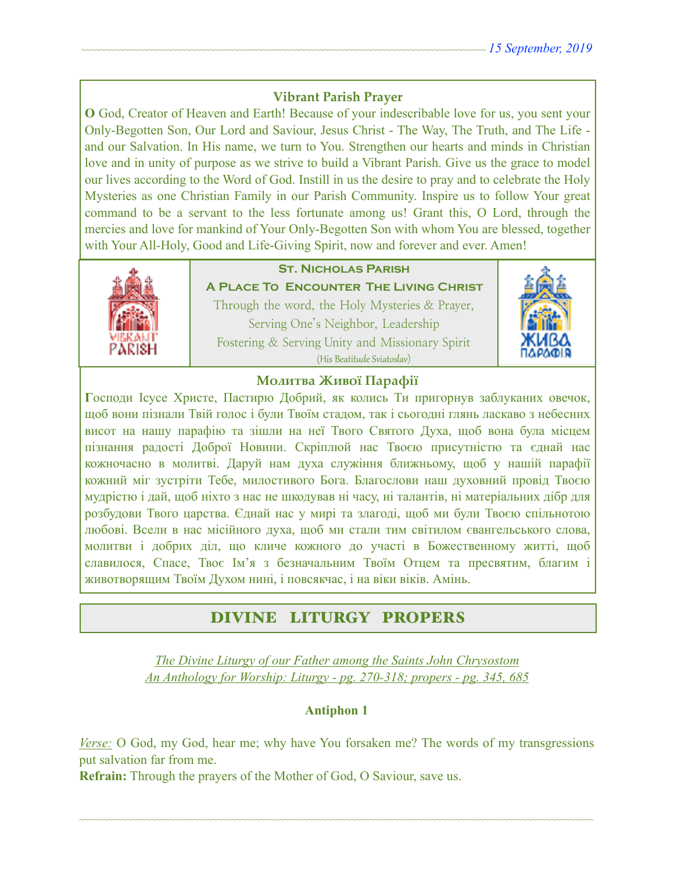## **Vibrant Parish Prayer**

**O** God, Creator of Heaven and Earth! Because of your indescribable love for us, you sent your Only-Begotten Son, Our Lord and Saviour, Jesus Christ - The Way, The Truth, and The Life and our Salvation. In His name, we turn to You. Strengthen our hearts and minds in Christian love and in unity of purpose as we strive to build a Vibrant Parish. Give us the grace to model our lives according to the Word of God. Instill in us the desire to pray and to celebrate the Holy Mysteries as one Christian Family in our Parish Community. Inspire us to follow Your great command to be a servant to the less fortunate among us! Grant this, O Lord, through the mercies and love for mankind of Your Only-Begotten Son with whom You are blessed, together with Your All-Holy, Good and Life-Giving Spirit, now and forever and ever. Amen!



# **St. Nicholas Parish**

**A Place To Encounter The Living Christ** Through the word, the Holy Mysteries & Prayer, Serving One's Neighbor, Leadership Fostering & Serving Unity and Missionary Spirit (His Beatitude Sviatoslav)



## **Молитва Живої Парафії**

**Г**осподи Ісусе Христе, Пастирю Добрий, як колись Ти пригорнув заблуканих овечок, щоб вони пізнали Твій голос і були Твоїм стадом, так і сьогодні глянь ласкаво з небесних висот на нашу парафію та зішли на неї Твого Святого Духа, щоб вона була місцем пізнання радості Доброї Новини. Скріплюй нас Твоєю присутністю та єднай нас кожночасно в молитві. Даруй нам духа служіння ближньому, щоб у нашій парафії кожний міг зустріти Тебе, милостивого Бога. Благослови наш духовний провід Твоєю мудрістю і дай, щоб ніхто з нас не шкодував ні часу, ні талантів, ні матеріальних дібр для розбудови Твого царства. Єднай нас у мирі та злагоді, щоб ми були Твоєю спільнотою любові. Всели в нас місійного духа, щоб ми стали тим світилом євангельського слова, молитви і добрих діл, що кличе кожного до участі в Божественному житті, щоб славилося, Спасе, Твоє Ім'я з безначальним Твоїм Отцем та пресвятим, благим і животворящим Твоїм Духом нині, і повсякчас, і на віки віків. Амінь.

# DIVINE LITURGY PROPERS

*The Divine Liturgy of our Father among the Saints John Chrysostom An Anthology for Worship: Liturgy - pg. 270-318; propers - pg. 345, 685* 

#### **Antiphon 1**

*Verse:* O God, my God, hear me; why have You forsaken me? The words of my transgressions put salvation far from me.

~~~~~~~~~~~~~~~~~~~~~~~~~~~~~~~~~~~~~~~~~~~~~~~~~~~~~~~~~~~~~~~~~~~~~~~~~~~~~~~~~~~~~~~~~~~~~~~~~~~~~~~~~~~~

**Refrain:** Through the prayers of the Mother of God, O Saviour, save us.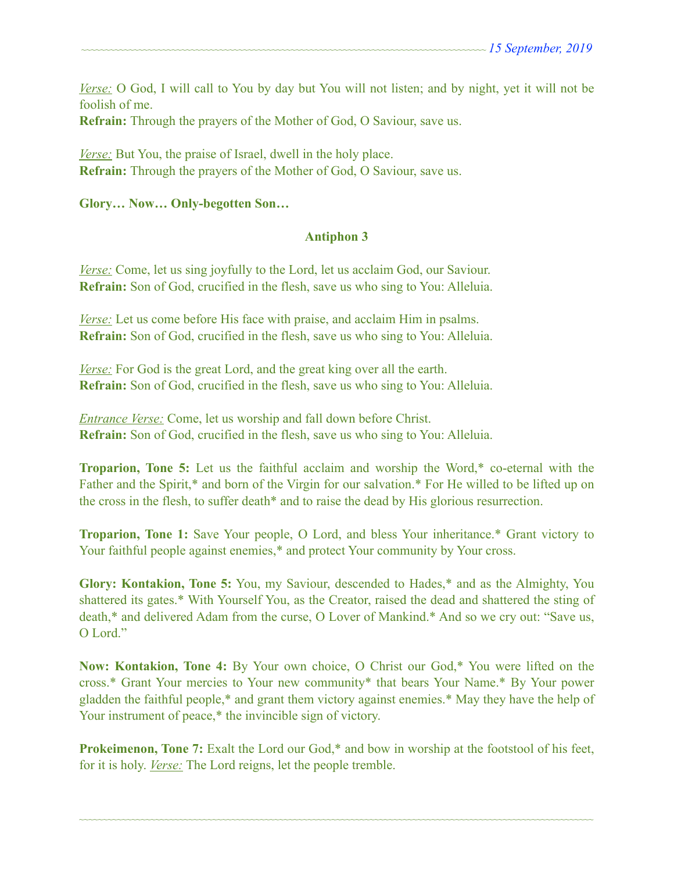*Verse:* O God, I will call to You by day but You will not listen; and by night, yet it will not be foolish of me.

**Refrain:** Through the prayers of the Mother of God, O Saviour, save us.

*Verse:* But You, the praise of Israel, dwell in the holy place. **Refrain:** Through the prayers of the Mother of God, O Saviour, save us.

### **Glory… Now… Only-begotten Son…**

## **Antiphon 3**

*Verse:* Come, let us sing joyfully to the Lord, let us acclaim God, our Saviour. **Refrain:** Son of God, crucified in the flesh, save us who sing to You: Alleluia.

*Verse:* Let us come before His face with praise, and acclaim Him in psalms. **Refrain:** Son of God, crucified in the flesh, save us who sing to You: Alleluia.

*Verse:* For God is the great Lord, and the great king over all the earth. **Refrain:** Son of God, crucified in the flesh, save us who sing to You: Alleluia.

*Entrance Verse:* Come, let us worship and fall down before Christ. **Refrain:** Son of God, crucified in the flesh, save us who sing to You: Alleluia.

**Troparion, Tone 5:** Let us the faithful acclaim and worship the Word,\* co-eternal with the Father and the Spirit,\* and born of the Virgin for our salvation.\* For He willed to be lifted up on the cross in the flesh, to suffer death\* and to raise the dead by His glorious resurrection.

**Troparion, Tone 1:** Save Your people, O Lord, and bless Your inheritance.\* Grant victory to Your faithful people against enemies,<sup>\*</sup> and protect Your community by Your cross.

**Glory: Kontakion, Tone 5:** You, my Saviour, descended to Hades,\* and as the Almighty, You shattered its gates.\* With Yourself You, as the Creator, raised the dead and shattered the sting of death,\* and delivered Adam from the curse, O Lover of Mankind.\* And so we cry out: "Save us, O Lord<sup>"</sup>

**Now: Kontakion, Tone 4:** By Your own choice, O Christ our God,\* You were lifted on the cross.\* Grant Your mercies to Your new community\* that bears Your Name.\* By Your power gladden the faithful people,\* and grant them victory against enemies.\* May they have the help of Your instrument of peace,\* the invincible sign of victory.

**Prokeimenon, Tone 7:** Exalt the Lord our God,\* and bow in worship at the footstool of his feet, for it is holy. *Verse:* The Lord reigns, let the people tremble.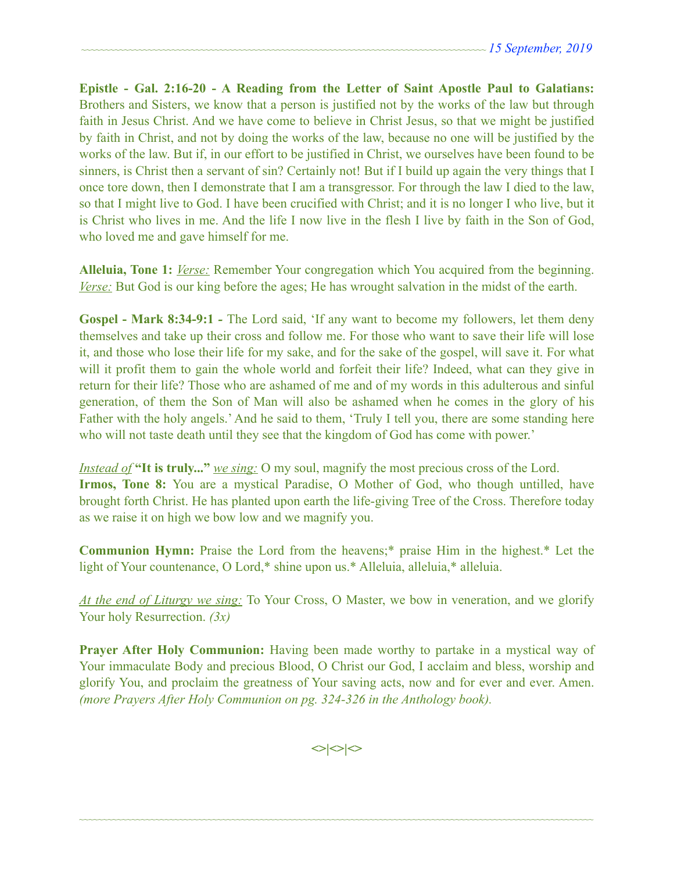**Epistle - Gal. 2:16-20 - A Reading from the Letter of Saint Apostle Paul to Galatians:**  Brothers and Sisters, we know that a person is justified not by the works of the law but through faith in Jesus Christ. And we have come to believe in Christ Jesus, so that we might be justified by faith in Christ, and not by doing the works of the law, because no one will be justified by the works of the law. But if, in our effort to be justified in Christ, we ourselves have been found to be sinners, is Christ then a servant of sin? Certainly not! But if I build up again the very things that I once tore down, then I demonstrate that I am a transgressor. For through the law I died to the law, so that I might live to God. I have been crucified with Christ; and it is no longer I who live, but it is Christ who lives in me. And the life I now live in the flesh I live by faith in the Son of God, who loved me and gave himself for me.

**Alleluia, Tone 1:** *Verse:* Remember Your congregation which You acquired from the beginning. *Verse:* But God is our king before the ages; He has wrought salvation in the midst of the earth.

**Gospel - Mark 8:34-9:1** *-* The Lord said, 'If any want to become my followers, let them deny themselves and take up their cross and follow me. For those who want to save their life will lose it, and those who lose their life for my sake, and for the sake of the gospel, will save it. For what will it profit them to gain the whole world and forfeit their life? Indeed, what can they give in return for their life? Those who are ashamed of me and of my words in this adulterous and sinful generation, of them the Son of Man will also be ashamed when he comes in the glory of his Father with the holy angels.' And he said to them, 'Truly I tell you, there are some standing here who will not taste death until they see that the kingdom of God has come with power.'

*Instead of* **"It is truly..."** *we sing:* O my soul, magnify the most precious cross of the Lord. **Irmos, Tone 8:** You are a mystical Paradise, O Mother of God, who though untilled, have brought forth Christ. He has planted upon earth the life-giving Tree of the Cross. Therefore today as we raise it on high we bow low and we magnify you.

**Communion Hymn:** Praise the Lord from the heavens;\* praise Him in the highest.\* Let the light of Your countenance, O Lord,\* shine upon us.\* Alleluia, alleluia,\* alleluia.

*At the end of Liturgy we sing:* To Your Cross, O Master, we bow in veneration, and we glorify Your holy Resurrection. *(3x)*

**Prayer After Holy Communion:** Having been made worthy to partake in a mystical way of Your immaculate Body and precious Blood, O Christ our God, I acclaim and bless, worship and glorify You, and proclaim the greatness of Your saving acts, now and for ever and ever. Amen. *(more Prayers After Holy Communion on pg. 324-326 in the Anthology book).* 

**<>|<>|<>**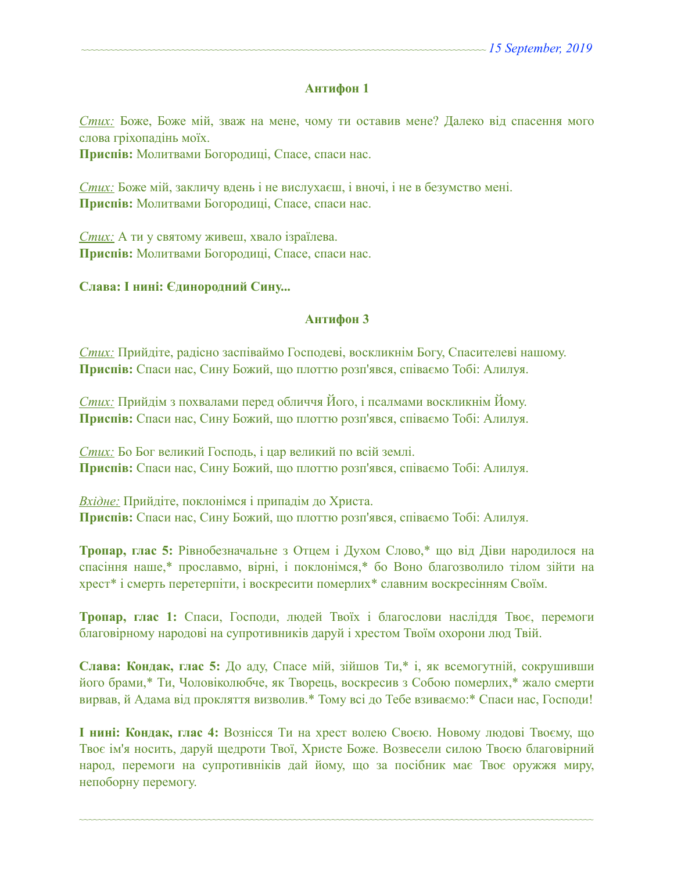#### **Антифон 1**

*Стих:* Боже, Боже мій, зваж на мене, чому ти оставив мене? Далеко від спасення мого слова гріхопадінь моїх.

**Приспів:** Молитвами Богородиці, Спасе, спаси нас.

*Стих:* Боже мій, закличу вдень і не вислухаєш, і вночі, і не в безумство мені. **Приспів:** Молитвами Богородиці, Спасе, спаси нас.

*Стих:* А ти у святому живеш, хвало ізраїлева. **Приспів:** Молитвами Богородиці, Спасе, спаси нас.

#### **Слава: І нині: Єдинородний Сину...**

#### **Антифон 3**

*Стих:* Прийдіте, радісно заспіваймо Господеві, воскликнім Богу, Спасителеві нашому. **Приспів:** Спаси нас, Сину Божий, що плоттю розп'явся, співаємо Тобі: Алилуя.

*Стих:* Прийдім з похвалами перед обличчя Його, і псалмами воскликнім Йому. **Приспів:** Спаси нас, Сину Божий, що плоттю розп'явся, співаємо Тобі: Алилуя.

*Стих:* Бо Бог великий Господь, і цар великий по всій землі. **Приспів:** Спаси нас, Сину Божий, що плоттю розп'явся, співаємо Тобі: Алилуя.

*Вхідне:* Прийдіте, поклонімся і припадім до Христа. **Приспів:** Спаси нас, Сину Божий, що плоттю розп'явся, співаємо Тобі: Алилуя.

**Тропар, глас 5:** Рівнобезначальне з Отцем і Духом Слово,\* що від Діви народилося на спасіння наше,\* прославмо, вірні, і поклонімся,\* бо Воно благозволило тілом зійти на хрест\* і смерть перетерпіти, і воскресити померлих\* славним воскресінням Своїм.

**Тропар, глас 1:** Спаси, Господи, людей Твоїх і благослови насліддя Твоє, перемоги благовірному народові на супротивників даруй і хрестом Твоїм охорони люд Твій.

**Слава: Кондак, глас 5:** До аду, Спасе мій, зійшов Ти,\* і, як всемогутній, сокрушивши його брами,\* Ти, Чоловіколюбче, як Творець, воскресив з Собою померлих,\* жало смерти вирвав, й Адама від прокляття визволив.\* Тому всі до Тебе взиваємо:\* Спаси нас, Господи!

**І нині: Кондак, глас 4:** Вознісся Ти на хрест волею Своєю. Новому людові Твоєму, що Твоє ім'я носить, даруй щедроти Твої, Христе Боже. Возвесели силою Твоєю благовірний народ, перемоги на супротивніків дай йому, що за посібник має Твоє оружжя миру, непоборну перемогу.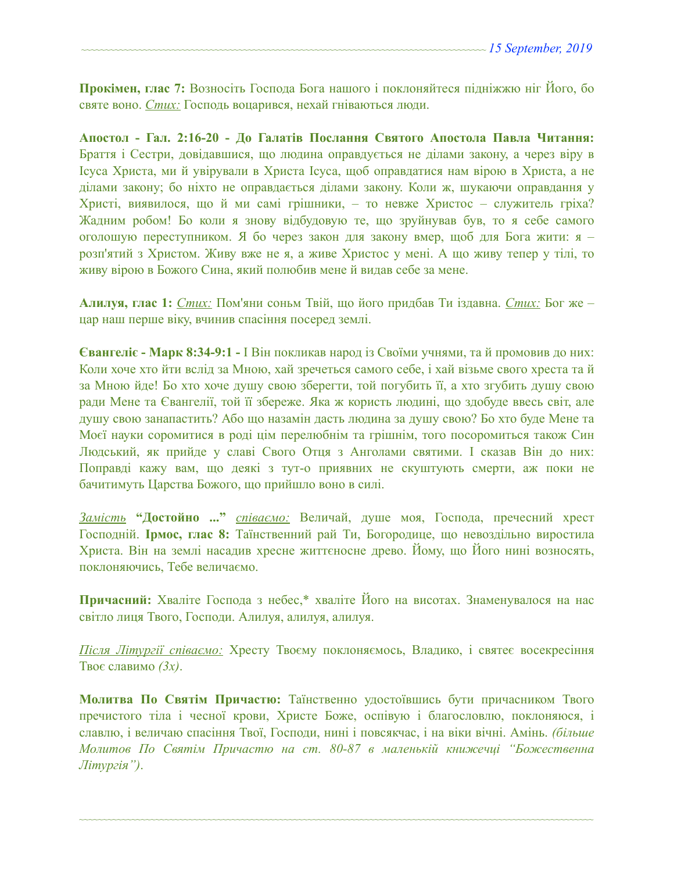**Прокімен, глас 7:** Возносіть Господа Бога нашого і поклоняйтеся підніжжю ніг Його, бо святе воно. *Стих:* Господь воцарився, нехай гніваються люди.

**Апостол - Гал. 2:16-20 - До Галатів Послання Святого Апостола Павла Читання:**  Браття і Cестри, довідавшися, що людина оправдується не ділами закону, а через віру в Ісуса Христа, ми й увірували в Христа Ісуса, щоб оправдатися нам вірою в Христа, а не ділами закону; бо ніхто не оправдається ділами закону. Коли ж, шукаючи оправдання у Христі, виявилося, що й ми самі грішники, – то невже Христос – служитель гріха? Жадним робом! Бо коли я знову відбудовую те, що зруйнував був, то я себе самого оголошую переступником. Я бо через закон для закону вмер, щоб для Бога жити: я – розп'ятий з Христом. Живу вже не я, а живе Христос у мені. А що живу тепер у тілі, то живу вірою в Божого Сина, який полюбив мене й видав себе за мене.

**Алилуя, глас 1:** *Стих:* Пом'яни соньм Твій, що його придбав Ти іздавна. *Стих:* Бог же – цар наш перше віку, вчинив спасіння посеред землі.

**Євангеліє - Марк 8:34-9:1 -** І Він покликав народ із Своїми учнями, та й промовив до них: Коли хоче хто йти вслід за Мною, хай зречеться самого себе, і хай візьме свого хреста та й за Мною йде! Бо хто хоче душу свою зберегти, той погубить її, а хто згубить душу свою ради Мене та Євангелії, той її збереже. Яка ж користь людині, що здобуде ввесь світ, але душу свою занапастить? Або що назамін дасть людина за душу свою? Бо хто буде Мене та Моєї науки соромитися в роді цім перелюбнім та грішнім, того посоромиться також Син Людський, як прийде у славі Свого Отця з Анголами святими. І сказав Він до них: Поправді кажу вам, що деякі з тут-о приявних не скуштують смерти, аж поки не бачитимуть Царства Божого, що прийшло воно в силі.

*Замість* **"Достойно ..."** *співаємо:* Величай, душе моя, Господа, пречесний хрест Господній. **Ірмос, глас 8:** Таїнственний рай Ти, Богородице, що невоздільно виростила Христа. Він на землі насадив хресне життєносне древо. Йому, що Його нині возносять, поклоняючись, Тебе величаємо.

**Причасний:** Хваліте Господа з небес,\* хваліте Його на висотах. Знаменувалося на нас світло лиця Твого, Господи. Алилуя, алилуя, алилуя.

*Після Літургії співаємо:* Хресту Твоєму поклоняємось, Владико, і святеє восекресіння Твоє славимо *(3x)*.

**Молитва По Святім Причастю:** Таїнственно удостоївшись бути причасником Твого пречистого тіла і чесної крови, Христе Боже, оспівую і благословлю, поклоняюся, і славлю, і величаю спасіння Твої, Господи, нині і повсякчас, і на віки вічні. Амінь. *(більше Молитов По Святім Причастю на ст. 80-87 в маленькій книжечці "Божественна Літургія")*.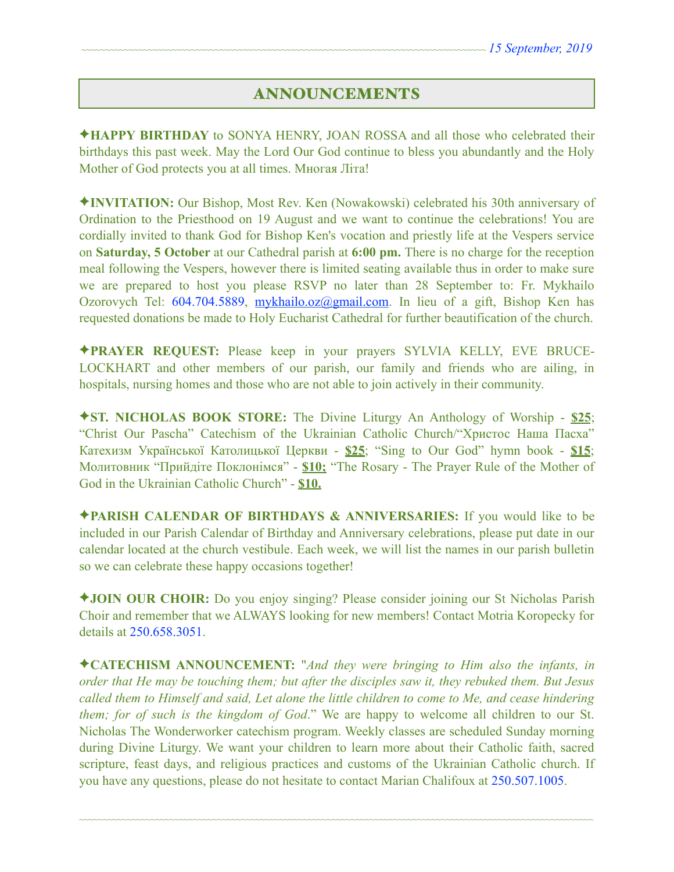# ANNOUNCEMENTS

✦**HAPPY BIRTHDAY** to SONYA HENRY, JOAN ROSSA and all those who celebrated their birthdays this past week. May the Lord Our God continue to bless you abundantly and the Holy Mother of God protects you at all times. Многая Літа!

✦**INVITATION:** Our Bishop, Most Rev. Ken (Nowakowski) celebrated his 30th anniversary of Ordination to the Priesthood on 19 August and we want to continue the celebrations! You are cordially invited to thank God for Bishop Ken's vocation and priestly life at the Vespers service on **Saturday, 5 October** at our Cathedral parish at **6:00 pm.** There is no charge for the reception meal following the Vespers, however there is limited seating available thus in order to make sure we are prepared to host you please RSVP no later than 28 September to: Fr. Mykhailo Ozorovych Tel: 604.704.5889, [mykhailo.oz@gmail.com](mailto:mykhailo.oz@gmail.com). In lieu of a gift, Bishop Ken has requested donations be made to Holy Eucharist Cathedral for further beautification of the church.

✦**PRAYER REQUEST:** Please keep in your prayers SYLVIA KELLY, EVE BRUCE-LOCKHART and other members of our parish, our family and friends who are ailing, in hospitals, nursing homes and those who are not able to join actively in their community.

✦**ST. NICHOLAS BOOK STORE:** The Divine Liturgy An Anthology of Worship - **\$25**; "Christ Our Pascha" Catechism of the Ukrainian Catholic Church/"Христос Наша Пасха" Катехизм Української Католицької Церкви - **\$25**; "Sing to Our God" hymn book - **\$15**; Молитовник "Прийдіте Поклонімся" - **\$10;** "The Rosary - The Prayer Rule of the Mother of God in the Ukrainian Catholic Church" - **\$10.** 

✦**PARISH CALENDAR OF BIRTHDAYS & ANNIVERSARIES:** If you would like to be included in our Parish Calendar of Birthday and Anniversary celebrations, please put date in our calendar located at the church vestibule. Each week, we will list the names in our parish bulletin so we can celebrate these happy occasions together!

✦**JOIN OUR CHOIR:** Do you enjoy singing? Please consider joining our St Nicholas Parish Choir and remember that we ALWAYS looking for new members! Contact Motria Koropecky for details at 250.658.3051.

✦**CATECHISM ANNOUNCEMENT:** "*And they were bringing to Him also the infants, in order that He may be touching them; but after the disciples saw it, they rebuked them. But Jesus called them to Himself and said, Let alone the little children to come to Me, and cease hindering them; for of such is the kingdom of God*." We are happy to welcome all children to our St. Nicholas The Wonderworker catechism program. Weekly classes are scheduled Sunday morning during Divine Liturgy. We want your children to learn more about their Catholic faith, sacred scripture, feast days, and religious practices and customs of the Ukrainian Catholic church. If you have any questions, please do not hesitate to contact Marian Chalifoux at 250.507.1005.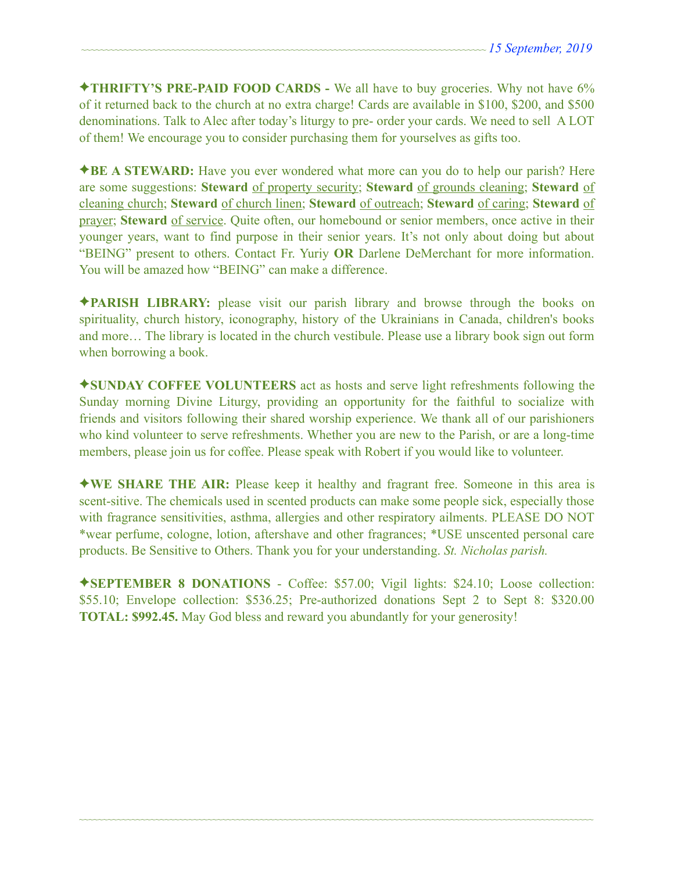✦**THRIFTY'S PRE-PAID FOOD CARDS -** We all have to buy groceries. Why not have 6% of it returned back to the church at no extra charge! Cards are available in \$100, \$200, and \$500 denominations. Talk to Alec after today's liturgy to pre- order your cards. We need to sell A LOT of them! We encourage you to consider purchasing them for yourselves as gifts too.

✦**BE A STEWARD:** Have you ever wondered what more can you do to help our parish? Here are some suggestions: **Steward** of property security; **Steward** of grounds cleaning; **Steward** of cleaning church; **Steward** of church linen; **Steward** of outreach; **Steward** of caring; **Steward** of prayer; **Steward** of service. Quite often, our homebound or senior members, once active in their younger years, want to find purpose in their senior years. It's not only about doing but about "BEING" present to others. Contact Fr. Yuriy **OR** Darlene DeMerchant for more information. You will be amazed how "BEING" can make a difference.

✦**PARISH LIBRARY:** please visit our parish library and browse through the books on spirituality, church history, iconography, history of the Ukrainians in Canada, children's books and more… The library is located in the church vestibule. Please use a library book sign out form when borrowing a book.

✦**SUNDAY COFFEE VOLUNTEERS** act as hosts and serve light refreshments following the Sunday morning Divine Liturgy, providing an opportunity for the faithful to socialize with friends and visitors following their shared worship experience. We thank all of our parishioners who kind volunteer to serve refreshments. Whether you are new to the Parish, or are a long-time members, please join us for coffee. Please speak with Robert if you would like to volunteer.

✦**WE SHARE THE AIR:** Please keep it healthy and fragrant free. Someone in this area is scent-sitive. The chemicals used in scented products can make some people sick, especially those with fragrance sensitivities, asthma, allergies and other respiratory ailments. PLEASE DO NOT \*wear perfume, cologne, lotion, aftershave and other fragrances; \*USE unscented personal care products. Be Sensitive to Others. Thank you for your understanding. *St. Nicholas parish.* 

✦**SEPTEMBER 8 DONATIONS** - Coffee: \$57.00; Vigil lights: \$24.10; Loose collection: \$55.10; Envelope collection: \$536.25; Pre-authorized donations Sept 2 to Sept 8: \$320.00 **TOTAL: \$992.45.** May God bless and reward you abundantly for your generosity!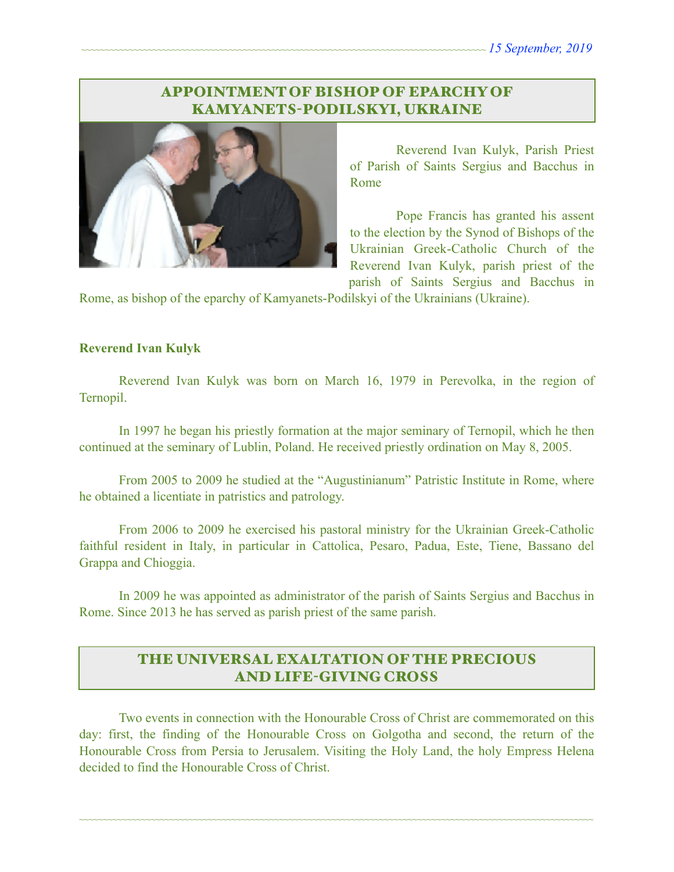# APPOINTMENT OF BISHOP OF EPARCHY OF KAMYANETS-PODILSKYI, UKRAINE



Reverend Ivan Kulyk, Parish Priest of Parish of Saints Sergius and Bacchus in Rome

Pope Francis has granted his assent to the election by the Synod of Bishops of the Ukrainian Greek-Catholic Church of the Reverend Ivan Kulyk, parish priest of the parish of Saints Sergius and Bacchus in

Rome, as bishop of the eparchy of Kamyanets-Podilskyi of the Ukrainians (Ukraine).

#### **Reverend Ivan Kulyk**

 Reverend Ivan Kulyk was born on March 16, 1979 in Perevolka, in the region of Ternopil.

 In 1997 he began his priestly formation at the major seminary of Ternopil, which he then continued at the seminary of Lublin, Poland. He received priestly ordination on May 8, 2005.

 From 2005 to 2009 he studied at the "Augustinianum" Patristic Institute in Rome, where he obtained a licentiate in patristics and patrology.

 From 2006 to 2009 he exercised his pastoral ministry for the Ukrainian Greek-Catholic faithful resident in Italy, in particular in Cattolica, Pesaro, Padua, Este, Tiene, Bassano del Grappa and Chioggia.

 In 2009 he was appointed as administrator of the parish of Saints Sergius and Bacchus in Rome. Since 2013 he has served as parish priest of the same parish.

# THE UNIVERSAL EXALTATION OF THE PRECIOUS AND LIFE-GIVING CROSS

 Two events in connection with the Honourable Cross of Christ are commemorated on this day: first, the finding of the Honourable Cross on Golgotha and second, the return of the Honourable Cross from Persia to Jerusalem. Visiting the Holy Land, the holy Empress Helena decided to find the Honourable Cross of Christ.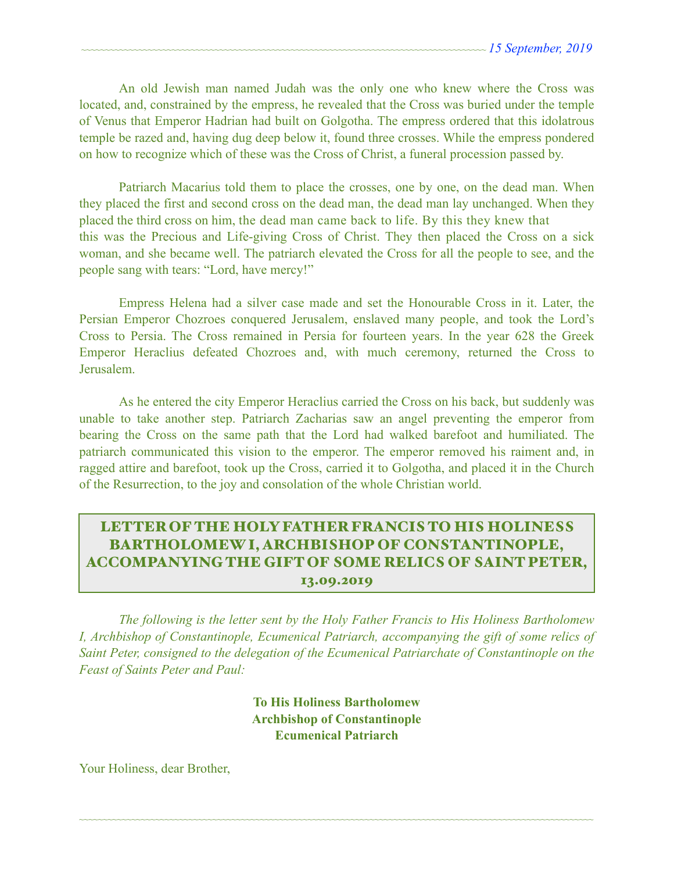An old Jewish man named Judah was the only one who knew where the Cross was located, and, constrained by the empress, he revealed that the Cross was buried under the temple of Venus that Emperor Hadrian had built on Golgotha. The empress ordered that this idolatrous temple be razed and, having dug deep below it, found three crosses. While the empress pondered on how to recognize which of these was the Cross of Christ, a funeral procession passed by.

 Patriarch Macarius told them to place the crosses, one by one, on the dead man. When they placed the first and second cross on the dead man, the dead man lay unchanged. When they placed the third cross on him, the dead man came back to life. By this they knew that this was the Precious and Life-giving Cross of Christ. They then placed the Cross on a sick woman, and she became well. The patriarch elevated the Cross for all the people to see, and the people sang with tears: "Lord, have mercy!"

 Empress Helena had a silver case made and set the Honourable Cross in it. Later, the Persian Emperor Chozroes conquered Jerusalem, enslaved many people, and took the Lord's Cross to Persia. The Cross remained in Persia for fourteen years. In the year 628 the Greek Emperor Heraclius defeated Chozroes and, with much ceremony, returned the Cross to Jerusalem.

 As he entered the city Emperor Heraclius carried the Cross on his back, but suddenly was unable to take another step. Patriarch Zacharias saw an angel preventing the emperor from bearing the Cross on the same path that the Lord had walked barefoot and humiliated. The patriarch communicated this vision to the emperor. The emperor removed his raiment and, in ragged attire and barefoot, took up the Cross, carried it to Golgotha, and placed it in the Church of the Resurrection, to the joy and consolation of the whole Christian world.

# LETTER OF THE HOLY FATHER FRANCIS TO HIS HOLINESS BARTHOLOMEW I, ARCHBISHOP OF CONSTANTINOPLE, ACCOMPANYING THE GIFT OF SOME RELICS OF SAINT PETER, 13.09.2019

 *The following is the letter sent by the Holy Father Francis to His Holiness Bartholomew I, Archbishop of Constantinople, Ecumenical Patriarch, accompanying the gift of some relics of Saint Peter, consigned to the delegation of the Ecumenical Patriarchate of Constantinople on the Feast of Saints Peter and Paul:* 

> **To His Holiness Bartholomew Archbishop of Constantinople Ecumenical Patriarch**

~~~~~~~~~~~~~~~~~~~~~~~~~~~~~~~~~~~~~~~~~~~~~~~~~~~~~~~~~~~~~~~~~~~~~~~~~~~~~~~~~~~~~~~~~~~~~~~~~~~~~~~~~~~~

Your Holiness, dear Brother,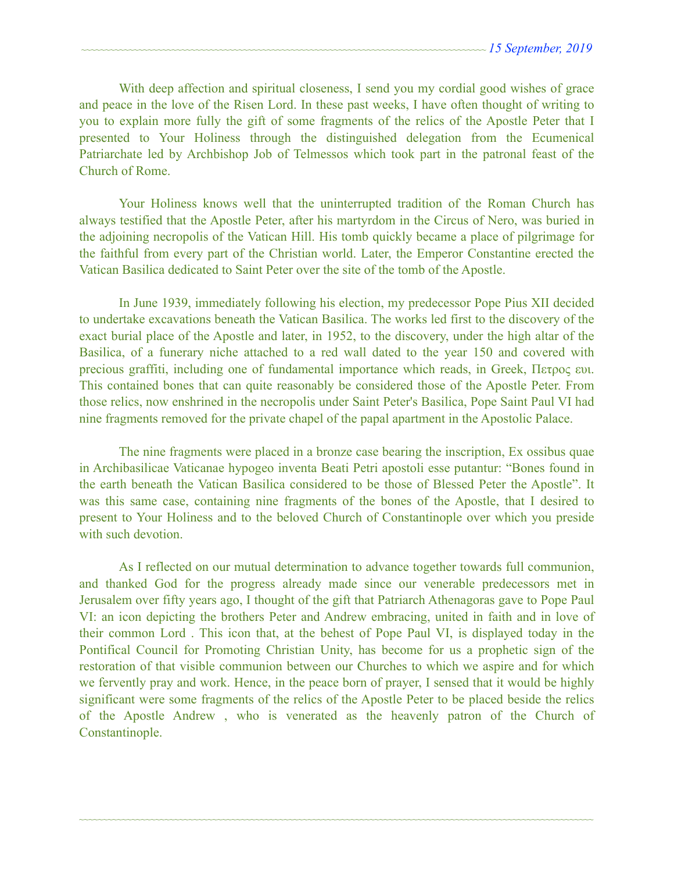With deep affection and spiritual closeness, I send you my cordial good wishes of grace and peace in the love of the Risen Lord. In these past weeks, I have often thought of writing to you to explain more fully the gift of some fragments of the relics of the Apostle Peter that I presented to Your Holiness through the distinguished delegation from the Ecumenical Patriarchate led by Archbishop Job of Telmessos which took part in the patronal feast of the Church of Rome.

 Your Holiness knows well that the uninterrupted tradition of the Roman Church has always testified that the Apostle Peter, after his martyrdom in the Circus of Nero, was buried in the adjoining necropolis of the Vatican Hill. His tomb quickly became a place of pilgrimage for the faithful from every part of the Christian world. Later, the Emperor Constantine erected the Vatican Basilica dedicated to Saint Peter over the site of the tomb of the Apostle.

 In June 1939, immediately following his election, my predecessor Pope Pius XII decided to undertake excavations beneath the Vatican Basilica. The works led first to the discovery of the exact burial place of the Apostle and later, in 1952, to the discovery, under the high altar of the Basilica, of a funerary niche attached to a red wall dated to the year 150 and covered with precious graffiti, including one of fundamental importance which reads, in Greek, Πετρος ευι. This contained bones that can quite reasonably be considered those of the Apostle Peter. From those relics, now enshrined in the necropolis under Saint Peter's Basilica, Pope Saint Paul VI had nine fragments removed for the private chapel of the papal apartment in the Apostolic Palace.

 The nine fragments were placed in a bronze case bearing the inscription, Ex ossibus quae in Archibasilicae Vaticanae hypogeo inventa Beati Petri apostoli esse putantur: "Bones found in the earth beneath the Vatican Basilica considered to be those of Blessed Peter the Apostle". It was this same case, containing nine fragments of the bones of the Apostle, that I desired to present to Your Holiness and to the beloved Church of Constantinople over which you preside with such devotion.

 As I reflected on our mutual determination to advance together towards full communion, and thanked God for the progress already made since our venerable predecessors met in Jerusalem over fifty years ago, I thought of the gift that Patriarch Athenagoras gave to Pope Paul VI: an icon depicting the brothers Peter and Andrew embracing, united in faith and in love of their common Lord . This icon that, at the behest of Pope Paul VI, is displayed today in the Pontifical Council for Promoting Christian Unity, has become for us a prophetic sign of the restoration of that visible communion between our Churches to which we aspire and for which we fervently pray and work. Hence, in the peace born of prayer, I sensed that it would be highly significant were some fragments of the relics of the Apostle Peter to be placed beside the relics of the Apostle Andrew , who is venerated as the heavenly patron of the Church of Constantinople.